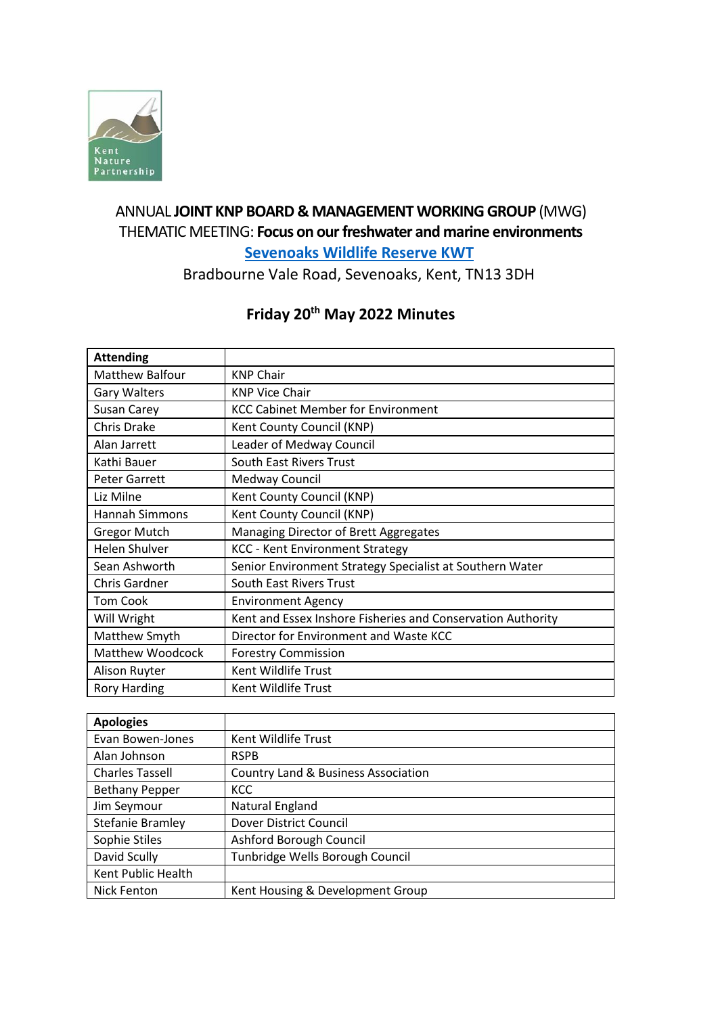

## ANNUAL **JOINT KNP BOARD & MANAGEMENT WORKING GROUP** (MWG) THEMATIC MEETING: **Focus on our freshwater and marine environments [Sevenoaks Wildlife Reserve KWT](https://www.kentwildlifetrust.org.uk/nature-reserves/sevenoaks-wildlife-reserve-and-jeffery-harrison-visitor-centre)**

Bradbourne Vale Road, Sevenoaks, Kent, TN13 3DH

# **Friday 20th May 2022 Minutes**

| Matthew Balfour<br><b>KNP Chair</b><br><b>KNP Vice Chair</b><br><b>Gary Walters</b><br><b>KCC Cabinet Member for Environment</b><br>Susan Carey<br><b>Chris Drake</b><br>Kent County Council (KNP)<br>Leader of Medway Council<br>Alan Jarrett<br>South East Rivers Trust<br>Kathi Bauer<br><b>Peter Garrett</b><br>Medway Council<br>Liz Milne<br>Kent County Council (KNP)<br>Hannah Simmons<br>Kent County Council (KNP)<br>Managing Director of Brett Aggregates<br><b>Gregor Mutch</b><br><b>Helen Shulver</b><br><b>KCC - Kent Environment Strategy</b><br>Sean Ashworth<br>Senior Environment Strategy Specialist at Southern Water |
|--------------------------------------------------------------------------------------------------------------------------------------------------------------------------------------------------------------------------------------------------------------------------------------------------------------------------------------------------------------------------------------------------------------------------------------------------------------------------------------------------------------------------------------------------------------------------------------------------------------------------------------------|
|                                                                                                                                                                                                                                                                                                                                                                                                                                                                                                                                                                                                                                            |
|                                                                                                                                                                                                                                                                                                                                                                                                                                                                                                                                                                                                                                            |
|                                                                                                                                                                                                                                                                                                                                                                                                                                                                                                                                                                                                                                            |
|                                                                                                                                                                                                                                                                                                                                                                                                                                                                                                                                                                                                                                            |
|                                                                                                                                                                                                                                                                                                                                                                                                                                                                                                                                                                                                                                            |
|                                                                                                                                                                                                                                                                                                                                                                                                                                                                                                                                                                                                                                            |
|                                                                                                                                                                                                                                                                                                                                                                                                                                                                                                                                                                                                                                            |
|                                                                                                                                                                                                                                                                                                                                                                                                                                                                                                                                                                                                                                            |
|                                                                                                                                                                                                                                                                                                                                                                                                                                                                                                                                                                                                                                            |
|                                                                                                                                                                                                                                                                                                                                                                                                                                                                                                                                                                                                                                            |
|                                                                                                                                                                                                                                                                                                                                                                                                                                                                                                                                                                                                                                            |
|                                                                                                                                                                                                                                                                                                                                                                                                                                                                                                                                                                                                                                            |
| South East Rivers Trust<br>Chris Gardner                                                                                                                                                                                                                                                                                                                                                                                                                                                                                                                                                                                                   |
| <b>Tom Cook</b><br><b>Environment Agency</b>                                                                                                                                                                                                                                                                                                                                                                                                                                                                                                                                                                                               |
| Kent and Essex Inshore Fisheries and Conservation Authority<br>Will Wright                                                                                                                                                                                                                                                                                                                                                                                                                                                                                                                                                                 |
| Matthew Smyth<br>Director for Environment and Waste KCC                                                                                                                                                                                                                                                                                                                                                                                                                                                                                                                                                                                    |
| <b>Matthew Woodcock</b><br><b>Forestry Commission</b>                                                                                                                                                                                                                                                                                                                                                                                                                                                                                                                                                                                      |
| Kent Wildlife Trust<br>Alison Ruyter                                                                                                                                                                                                                                                                                                                                                                                                                                                                                                                                                                                                       |
| Kent Wildlife Trust<br><b>Rory Harding</b>                                                                                                                                                                                                                                                                                                                                                                                                                                                                                                                                                                                                 |

| <b>Apologies</b>       |                                                |
|------------------------|------------------------------------------------|
| Evan Bowen-Jones       | Kent Wildlife Trust                            |
| Alan Johnson           | <b>RSPB</b>                                    |
| <b>Charles Tassell</b> | <b>Country Land &amp; Business Association</b> |
| <b>Bethany Pepper</b>  | <b>KCC</b>                                     |
| Jim Seymour            | Natural England                                |
| Stefanie Bramley       | Dover District Council                         |
| Sophie Stiles          | Ashford Borough Council                        |
| David Scully           | Tunbridge Wells Borough Council                |
| Kent Public Health     |                                                |
| Nick Fenton            | Kent Housing & Development Group               |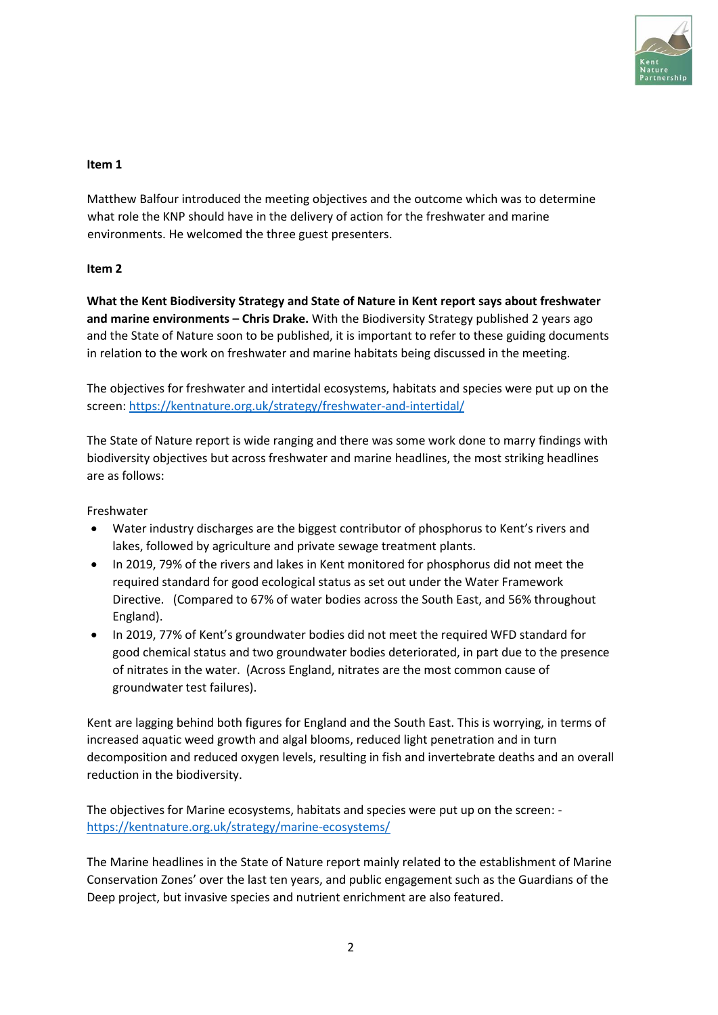

#### **Item 1**

Matthew Balfour introduced the meeting objectives and the outcome which was to determine what role the KNP should have in the delivery of action for the freshwater and marine environments. He welcomed the three guest presenters.

#### **Item 2**

**What the Kent Biodiversity Strategy and State of Nature in Kent report says about freshwater and marine environments – Chris Drake.** With the Biodiversity Strategy published 2 years ago and the State of Nature soon to be published, it is important to refer to these guiding documents in relation to the work on freshwater and marine habitats being discussed in the meeting.

The objectives for freshwater and intertidal ecosystems, habitats and species were put up on the screen:<https://kentnature.org.uk/strategy/freshwater-and-intertidal/>

The State of Nature report is wide ranging and there was some work done to marry findings with biodiversity objectives but across freshwater and marine headlines, the most striking headlines are as follows:

Freshwater

- Water industry discharges are the biggest contributor of phosphorus to Kent's rivers and lakes, followed by agriculture and private sewage treatment plants.
- In 2019, 79% of the rivers and lakes in Kent monitored for phosphorus did not meet the required standard for good ecological status as set out under the Water Framework Directive. (Compared to 67% of water bodies across the South East, and 56% throughout England).
- In 2019, 77% of Kent's groundwater bodies did not meet the required WFD standard for good chemical status and two groundwater bodies deteriorated, in part due to the presence of nitrates in the water. (Across England, nitrates are the most common cause of groundwater test failures).

Kent are lagging behind both figures for England and the South East. This is worrying, in terms of increased aquatic weed growth and algal blooms, reduced light penetration and in turn decomposition and reduced oxygen levels, resulting in fish and invertebrate deaths and an overall reduction in the biodiversity.

The objectives for Marine ecosystems, habitats and species were put up on the screen: <https://kentnature.org.uk/strategy/marine-ecosystems/>

The Marine headlines in the State of Nature report mainly related to the establishment of Marine Conservation Zones' over the last ten years, and public engagement such as the Guardians of the Deep project, but invasive species and nutrient enrichment are also featured.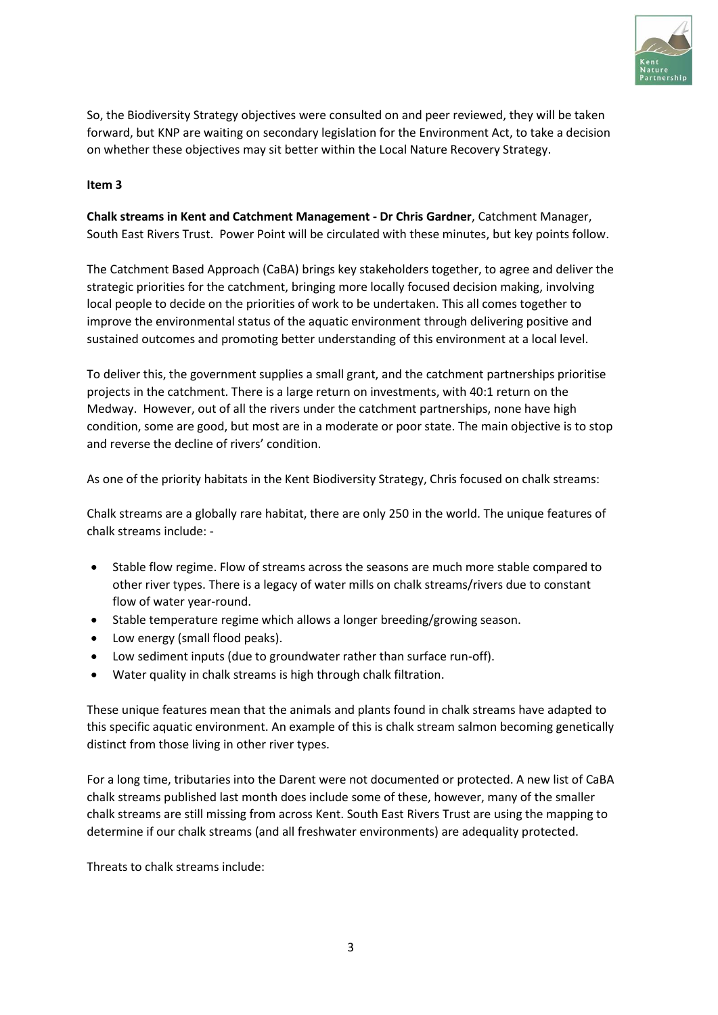

So, the Biodiversity Strategy objectives were consulted on and peer reviewed, they will be taken forward, but KNP are waiting on secondary legislation for the Environment Act, to take a decision on whether these objectives may sit better within the Local Nature Recovery Strategy.

#### **Item 3**

**Chalk streams in Kent and Catchment Management - Dr Chris Gardner**, Catchment Manager, South East Rivers Trust. Power Point will be circulated with these minutes, but key points follow.

The Catchment Based Approach (CaBA) brings key stakeholders together, to agree and deliver the strategic priorities for the catchment, bringing more locally focused decision making, involving local people to decide on the priorities of work to be undertaken. This all comes together to improve the environmental status of the aquatic environment through delivering positive and sustained outcomes and promoting better understanding of this environment at a local level.

To deliver this, the government supplies a small grant, and the catchment partnerships prioritise projects in the catchment. There is a large return on investments, with 40:1 return on the Medway. However, out of all the rivers under the catchment partnerships, none have high condition, some are good, but most are in a moderate or poor state. The main objective is to stop and reverse the decline of rivers' condition.

As one of the priority habitats in the Kent Biodiversity Strategy, Chris focused on chalk streams:

Chalk streams are a globally rare habitat, there are only 250 in the world. The unique features of chalk streams include: -

- Stable flow regime. Flow of streams across the seasons are much more stable compared to other river types. There is a legacy of water mills on chalk streams/rivers due to constant flow of water year-round.
- Stable temperature regime which allows a longer breeding/growing season.
- Low energy (small flood peaks).
- Low sediment inputs (due to groundwater rather than surface run-off).
- Water quality in chalk streams is high through chalk filtration.

These unique features mean that the animals and plants found in chalk streams have adapted to this specific aquatic environment. An example of this is chalk stream salmon becoming genetically distinct from those living in other river types.

For a long time, tributaries into the Darent were not documented or protected. A new list of CaBA chalk streams published last month does include some of these, however, many of the smaller chalk streams are still missing from across Kent. South East Rivers Trust are using the mapping to determine if our chalk streams (and all freshwater environments) are adequality protected.

Threats to chalk streams include: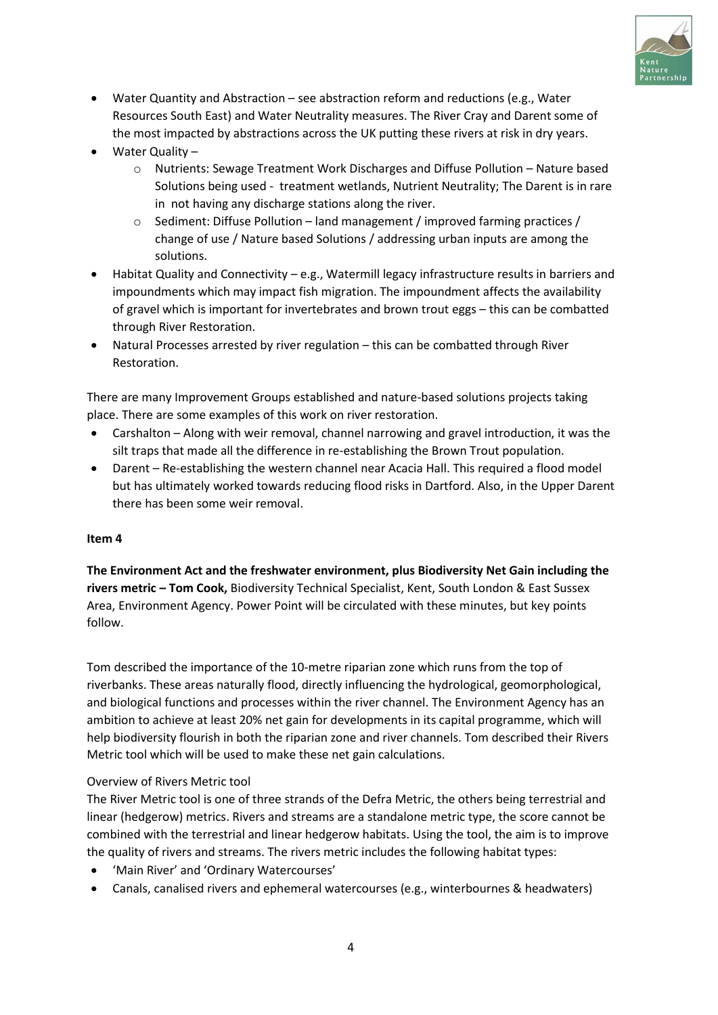

- Water Quantity and Abstraction see abstraction reform and reductions (e.g., Water Resources South East) and Water Neutrality measures. The River Cray and Darent some of the most impacted by abstractions across the UK putting these rivers at risk in dry years.
- Water Quality
	- o Nutrients: Sewage Treatment Work Discharges and Diffuse Pollution Nature based Solutions being used - treatment wetlands, Nutrient Neutrality; The Darent is in rare in not having any discharge stations along the river.
	- $\circ$  Sediment: Diffuse Pollution land management / improved farming practices / change of use / Nature based Solutions / addressing urban inputs are among the solutions.
- Habitat Quality and Connectivity e.g., Watermill legacy infrastructure results in barriers and impoundments which may impact fish migration. The impoundment affects the availability of gravel which is important for invertebrates and brown trout eggs – this can be combatted through River Restoration.
- Natural Processes arrested by river regulation this can be combatted through River Restoration.

There are many Improvement Groups established and nature-based solutions projects taking place. There are some examples of this work on river restoration.

- Carshalton Along with weir removal, channel narrowing and gravel introduction, it was the silt traps that made all the difference in re-establishing the Brown Trout population.
- Darent Re-establishing the western channel near Acacia Hall. This required a flood model but has ultimately worked towards reducing flood risks in Dartford. Also, in the Upper Darent there has been some weir removal.

## **Item 4**

**The Environment Act and the freshwater environment, plus Biodiversity Net Gain including the rivers metric – Tom Cook,** Biodiversity Technical Specialist, Kent, South London & East Sussex Area, Environment Agency. Power Point will be circulated with these minutes, but key points follow.

Tom described the importance of the 10-metre riparian zone which runs from the top of riverbanks. These areas naturally flood, directly influencing the hydrological, geomorphological, and biological functions and processes within the river channel. The Environment Agency has an ambition to achieve at least 20% net gain for developments in its capital programme, which will help biodiversity flourish in both the riparian zone and river channels. Tom described their Rivers Metric tool which will be used to make these net gain calculations.

## Overview of Rivers Metric tool

The River Metric tool is one of three strands of the Defra Metric, the others being terrestrial and linear (hedgerow) metrics. Rivers and streams are a standalone metric type, the score cannot be combined with the terrestrial and linear hedgerow habitats. Using the tool, the aim is to improve the quality of rivers and streams. The rivers metric includes the following habitat types:

- 'Main River' and 'Ordinary Watercourses'
- Canals, canalised rivers and ephemeral watercourses (e.g., winterbournes & headwaters)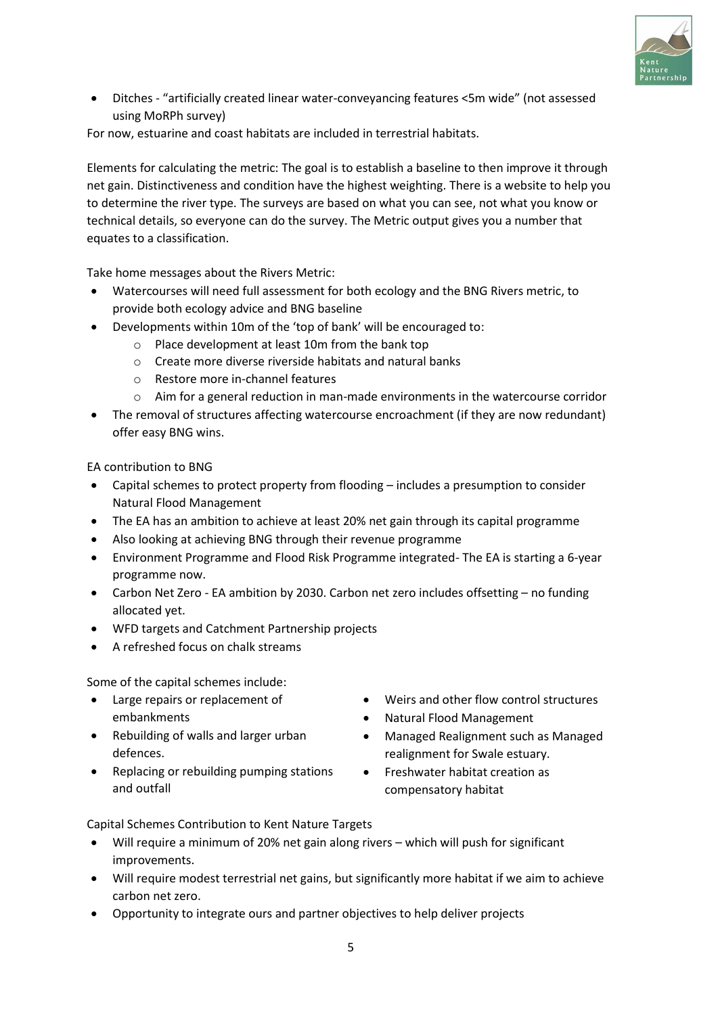

• Ditches - "artificially created linear water-conveyancing features <5m wide" (not assessed using MoRPh survey)

For now, estuarine and coast habitats are included in terrestrial habitats.

Elements for calculating the metric: The goal is to establish a baseline to then improve it through net gain. Distinctiveness and condition have the highest weighting. There is a website to help you to determine the river type. The surveys are based on what you can see, not what you know or technical details, so everyone can do the survey. The Metric output gives you a number that equates to a classification.

Take home messages about the Rivers Metric:

- Watercourses will need full assessment for both ecology and the BNG Rivers metric, to provide both ecology advice and BNG baseline
- Developments within 10m of the 'top of bank' will be encouraged to:
	- o Place development at least 10m from the bank top
	- o Create more diverse riverside habitats and natural banks
	- o Restore more in-channel features
	- $\circ$  Aim for a general reduction in man-made environments in the watercourse corridor
- The removal of structures affecting watercourse encroachment (if they are now redundant) offer easy BNG wins.

EA contribution to BNG

- Capital schemes to protect property from flooding includes a presumption to consider Natural Flood Management
- The EA has an ambition to achieve at least 20% net gain through its capital programme
- Also looking at achieving BNG through their revenue programme
- Environment Programme and Flood Risk Programme integrated- The EA is starting a 6-year programme now.
- Carbon Net Zero EA ambition by 2030. Carbon net zero includes offsetting no funding allocated yet.
- WFD targets and Catchment Partnership projects
- A refreshed focus on chalk streams

Some of the capital schemes include:

- Large repairs or replacement of embankments
- Rebuilding of walls and larger urban defences.
- Replacing or rebuilding pumping stations and outfall
- Weirs and other flow control structures
- Natural Flood Management
- Managed Realignment such as Managed realignment for Swale estuary.
- Freshwater habitat creation as compensatory habitat

Capital Schemes Contribution to Kent Nature Targets

- Will require a minimum of 20% net gain along rivers which will push for significant improvements.
- Will require modest terrestrial net gains, but significantly more habitat if we aim to achieve carbon net zero.
- Opportunity to integrate ours and partner objectives to help deliver projects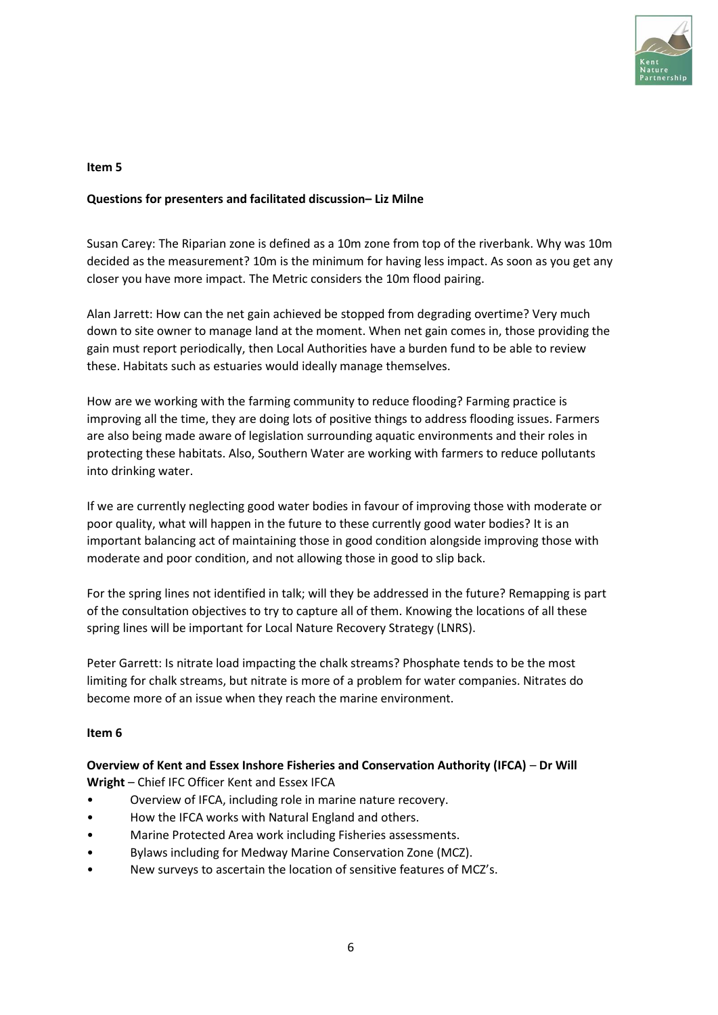

#### **Item 5**

#### **Questions for presenters and facilitated discussion– Liz Milne**

Susan Carey: The Riparian zone is defined as a 10m zone from top of the riverbank. Why was 10m decided as the measurement? 10m is the minimum for having less impact. As soon as you get any closer you have more impact. The Metric considers the 10m flood pairing.

Alan Jarrett: How can the net gain achieved be stopped from degrading overtime? Very much down to site owner to manage land at the moment. When net gain comes in, those providing the gain must report periodically, then Local Authorities have a burden fund to be able to review these. Habitats such as estuaries would ideally manage themselves.

How are we working with the farming community to reduce flooding? Farming practice is improving all the time, they are doing lots of positive things to address flooding issues. Farmers are also being made aware of legislation surrounding aquatic environments and their roles in protecting these habitats. Also, Southern Water are working with farmers to reduce pollutants into drinking water.

If we are currently neglecting good water bodies in favour of improving those with moderate or poor quality, what will happen in the future to these currently good water bodies? It is an important balancing act of maintaining those in good condition alongside improving those with moderate and poor condition, and not allowing those in good to slip back.

For the spring lines not identified in talk; will they be addressed in the future? Remapping is part of the consultation objectives to try to capture all of them. Knowing the locations of all these spring lines will be important for Local Nature Recovery Strategy (LNRS).

Peter Garrett: Is nitrate load impacting the chalk streams? Phosphate tends to be the most limiting for chalk streams, but nitrate is more of a problem for water companies. Nitrates do become more of an issue when they reach the marine environment.

#### **Item 6**

**Overview of Kent and Essex Inshore Fisheries and Conservation Authority (IFCA)** – **Dr Will Wright** – Chief IFC Officer Kent and Essex IFCA

- Overview of IFCA, including role in marine nature recovery.
- How the IFCA works with Natural England and others.
- Marine Protected Area work including Fisheries assessments.
- Bylaws including for Medway Marine Conservation Zone (MCZ).
- New surveys to ascertain the location of sensitive features of MCZ's.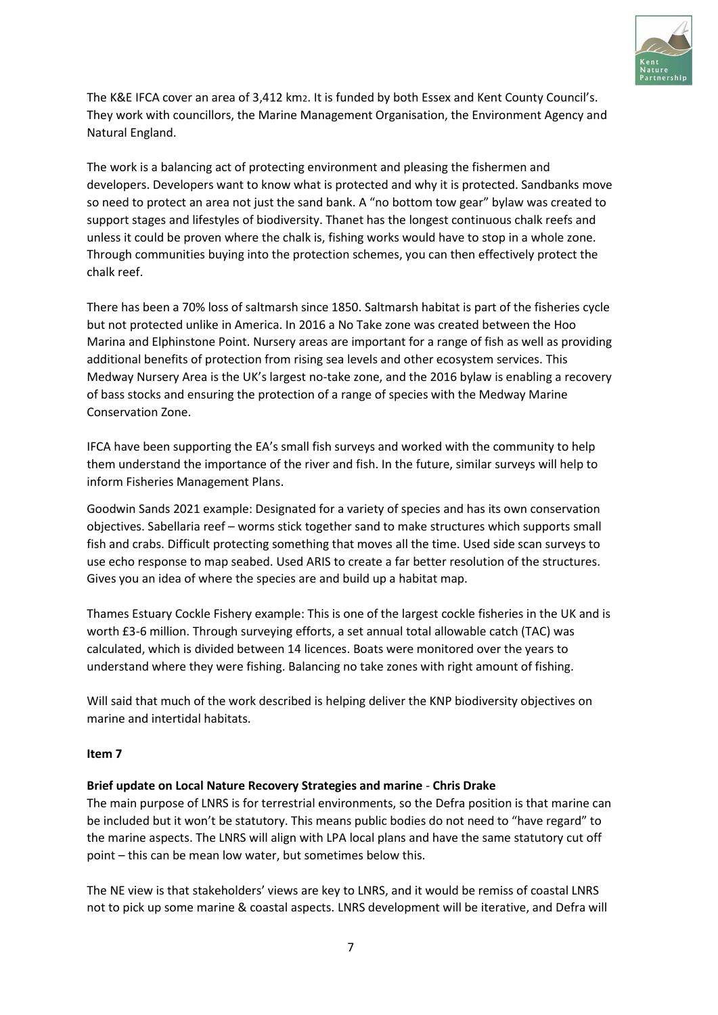

The K&E IFCA cover an area of 3,412 km2. It is funded by both Essex and Kent County Council's. They work with councillors, the Marine Management Organisation, the Environment Agency and Natural England.

The work is a balancing act of protecting environment and pleasing the fishermen and developers. Developers want to know what is protected and why it is protected. Sandbanks move so need to protect an area not just the sand bank. A "no bottom tow gear" bylaw was created to support stages and lifestyles of biodiversity. Thanet has the longest continuous chalk reefs and unless it could be proven where the chalk is, fishing works would have to stop in a whole zone. Through communities buying into the protection schemes, you can then effectively protect the chalk reef.

There has been a 70% loss of saltmarsh since 1850. Saltmarsh habitat is part of the fisheries cycle but not protected unlike in America. In 2016 a No Take zone was created between the Hoo Marina and Elphinstone Point. Nursery areas are important for a range of fish as well as providing additional benefits of protection from rising sea levels and other ecosystem services. This Medway Nursery Area is the UK's largest no-take zone, and the 2016 bylaw is enabling a recovery of bass stocks and ensuring the protection of a range of species with the Medway Marine Conservation Zone.

IFCA have been supporting the EA's small fish surveys and worked with the community to help them understand the importance of the river and fish. In the future, similar surveys will help to inform Fisheries Management Plans.

Goodwin Sands 2021 example: Designated for a variety of species and has its own conservation objectives. Sabellaria reef – worms stick together sand to make structures which supports small fish and crabs. Difficult protecting something that moves all the time. Used side scan surveys to use echo response to map seabed. Used ARIS to create a far better resolution of the structures. Gives you an idea of where the species are and build up a habitat map.

Thames Estuary Cockle Fishery example: This is one of the largest cockle fisheries in the UK and is worth £3-6 million. Through surveying efforts, a set annual total allowable catch (TAC) was calculated, which is divided between 14 licences. Boats were monitored over the years to understand where they were fishing. Balancing no take zones with right amount of fishing.

Will said that much of the work described is helping deliver the KNP biodiversity objectives on marine and intertidal habitats.

#### **Item 7**

#### **Brief update on Local Nature Recovery Strategies and marine** - **Chris Drake**

The main purpose of LNRS is for terrestrial environments, so the Defra position is that marine can be included but it won't be statutory. This means public bodies do not need to "have regard" to the marine aspects. The LNRS will align with LPA local plans and have the same statutory cut off point – this can be mean low water, but sometimes below this.

The NE view is that stakeholders' views are key to LNRS, and it would be remiss of coastal LNRS not to pick up some marine & coastal aspects. LNRS development will be iterative, and Defra will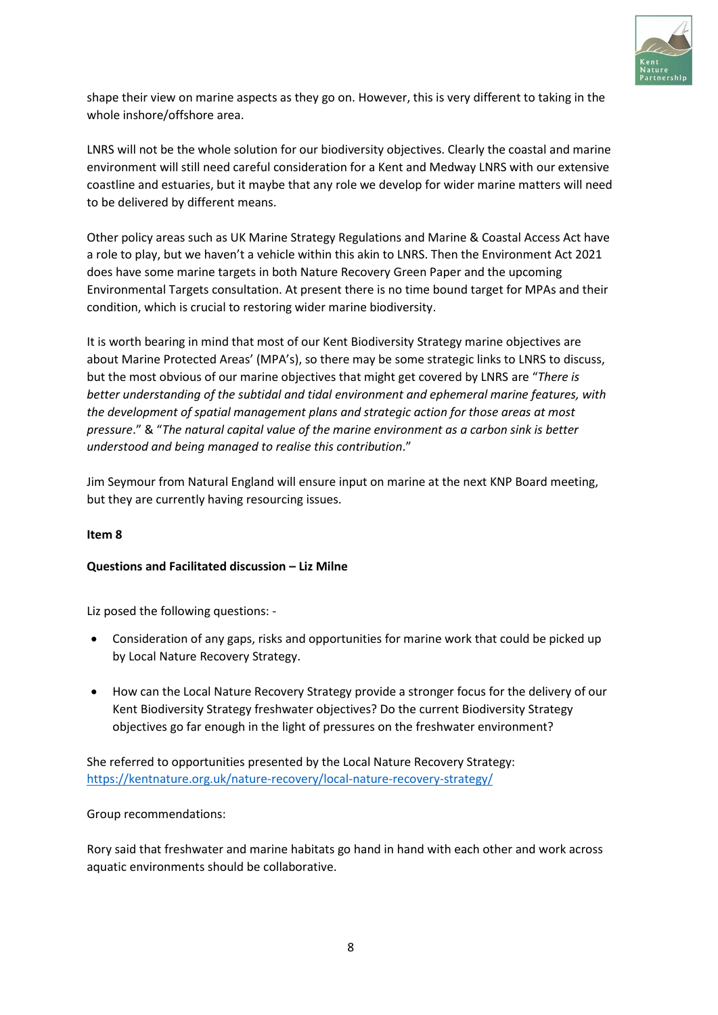

shape their view on marine aspects as they go on. However, this is very different to taking in the whole inshore/offshore area.

LNRS will not be the whole solution for our biodiversity objectives. Clearly the coastal and marine environment will still need careful consideration for a Kent and Medway LNRS with our extensive coastline and estuaries, but it maybe that any role we develop for wider marine matters will need to be delivered by different means.

Other policy areas such as UK Marine Strategy Regulations and Marine & Coastal Access Act have a role to play, but we haven't a vehicle within this akin to LNRS. Then the Environment Act 2021 does have some marine targets in both Nature Recovery Green Paper and the upcoming Environmental Targets consultation. At present there is no time bound target for MPAs and their condition, which is crucial to restoring wider marine biodiversity.

It is worth bearing in mind that most of our Kent Biodiversity Strategy marine objectives are about Marine Protected Areas' (MPA's), so there may be some strategic links to LNRS to discuss, but the most obvious of our marine objectives that might get covered by LNRS are "*There is better understanding of the subtidal and tidal environment and ephemeral marine features, with the development of spatial management plans and strategic action for those areas at most pressure*." & "*The natural capital value of the marine environment as a carbon sink is better understood and being managed to realise this contribution*."

Jim Seymour from Natural England will ensure input on marine at the next KNP Board meeting, but they are currently having resourcing issues.

#### **Item 8**

#### **Questions and Facilitated discussion – Liz Milne**

Liz posed the following questions: -

- Consideration of any gaps, risks and opportunities for marine work that could be picked up by Local Nature Recovery Strategy.
- How can the Local Nature Recovery Strategy provide a stronger focus for the delivery of our Kent Biodiversity Strategy freshwater objectives? Do the current Biodiversity Strategy objectives go far enough in the light of pressures on the freshwater environment?

She referred to opportunities presented by the Local Nature Recovery Strategy: <https://kentnature.org.uk/nature-recovery/local-nature-recovery-strategy/>

Group recommendations:

Rory said that freshwater and marine habitats go hand in hand with each other and work across aquatic environments should be collaborative.